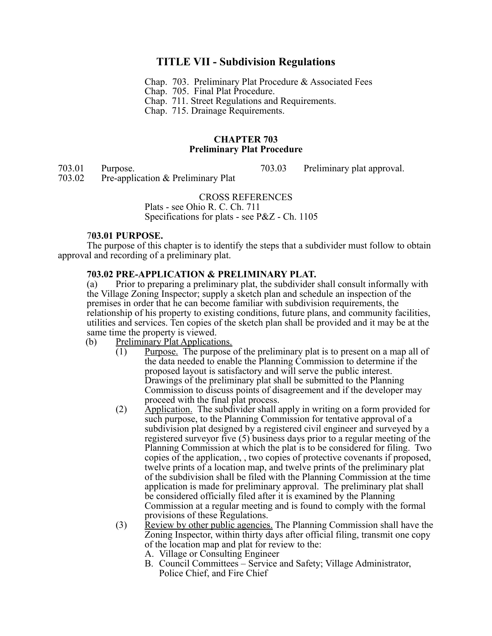# **TITLE VII - Subdivision Regulations**

- Chap. 703. Preliminary Plat Procedure & Associated Fees
- Chap. 705. Final Plat Procedure.
- Chap. 711. Street Regulations and Requirements.
- Chap. 715. Drainage Requirements.

#### **CHAPTER 703 Preliminary Plat Procedure**

703.01 Purpose.<br>
703.03 Preliminary plat approval.<br>
703.03 Preliminary plat approval. Pre-application & Preliminary Plat

#### CROSS REFERENCES

Plats - see Ohio R. C. Ch. 711 Specifications for plats - see P&Z - Ch. 1105

#### 7**03.01 PURPOSE.**

The purpose of this chapter is to identify the steps that a subdivider must follow to obtain approval and recording of a preliminary plat.

# **703.02 PRE-APPLICATION & PRELIMINARY PLAT.**

(a) Prior to preparing a preliminary plat, the subdivider shall consult informally with the Village Zoning Inspector; supply a sketch plan and schedule an inspection of the premises in order that he can become familiar with subdivision requirements, the relationship of his property to existing conditions, future plans, and community facilities, utilities and services. Ten copies of the sketch plan shall be provided and it may be at the same time the property is viewed.

- (b) Preliminary Plat Applications.
	- (1) Purpose. The purpose of the preliminary plat is to present on a map all of the data needed to enable the Planning Commission to determine if the proposed layout is satisfactory and will serve the public interest. Drawings of the preliminary plat shall be submitted to the Planning Commission to discuss points of disagreement and if the developer may proceed with the final plat process.
	- (2) Application. The subdivider shall apply in writing on a form provided for such purpose, to the Planning Commission for tentative approval of a subdivision plat designed by a registered civil engineer and surveyed by a registered surveyor five (5) business days prior to a regular meeting of the Planning Commission at which the plat is to be considered for filing. Two copies of the application, , two copies of protective covenants if proposed, twelve prints of a location map, and twelve prints of the preliminary plat of the subdivision shall be filed with the Planning Commission at the time application is made for preliminary approval. The preliminary plat shall be considered officially filed after it is examined by the Planning Commission at a regular meeting and is found to comply with the formal provisions of these Regulations.
	- (3) Review by other public agencies. The Planning Commission shall have the Zoning Inspector, within thirty days after official filing, transmit one copy of the location map and plat for review to the:
		- A. Village or Consulting Engineer
		- B. Council Committees Service and Safety; Village Administrator, Police Chief, and Fire Chief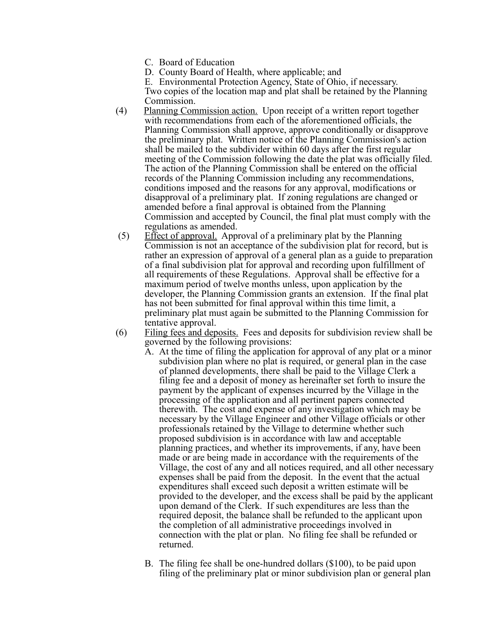- C. Board of Education
- D. County Board of Health, where applicable; and

E. Environmental Protection Agency, State of Ohio, if necessary.

Two copies of the location map and plat shall be retained by the Planning Commission.

- (4) Planning Commission action. Upon receipt of a written report together with recommendations from each of the aforementioned officials, the Planning Commission shall approve, approve conditionally or disapprove the preliminary plat. Written notice of the Planning Commission's action shall be mailed to the subdivider within 60 days after the first regular meeting of the Commission following the date the plat was officially filed. The action of the Planning Commission shall be entered on the official records of the Planning Commission including any recommendations, conditions imposed and the reasons for any approval, modifications or disapproval of a preliminary plat. If zoning regulations are changed or amended before a final approval is obtained from the Planning Commission and accepted by Council, the final plat must comply with the regulations as amended.
- $(5)$  Effect of approval. Approval of a preliminary plat by the Planning Commission is not an acceptance of the subdivision plat for record, but is rather an expression of approval of a general plan as a guide to preparation of a final subdivision plat for approval and recording upon fulfillment of all requirements of these Regulations. Approval shall be effective for a maximum period of twelve months unless, upon application by the developer, the Planning Commission grants an extension. If the final plat has not been submitted for final approval within this time limit, a preliminary plat must again be submitted to the Planning Commission for tentative approval.
- (6) Filing fees and deposits. Fees and deposits for subdivision review shall be governed by the following provisions:
	- A. At the time of filing the application for approval of any plat or a minor subdivision plan where no plat is required, or general plan in the case of planned developments, there shall be paid to the Village Clerk a filing fee and a deposit of money as hereinafter set forth to insure the payment by the applicant of expenses incurred by the Village in the processing of the application and all pertinent papers connected therewith. The cost and expense of any investigation which may be necessary by the Village Engineer and other Village officials or other professionals retained by the Village to determine whether such proposed subdivision is in accordance with law and acceptable planning practices, and whether its improvements, if any, have been made or are being made in accordance with the requirements of the Village, the cost of any and all notices required, and all other necessary expenses shall be paid from the deposit. In the event that the actual expenditures shall exceed such deposit a written estimate will be provided to the developer, and the excess shall be paid by the applicant upon demand of the Clerk. If such expenditures are less than the required deposit, the balance shall be refunded to the applicant upon the completion of all administrative proceedings involved in connection with the plat or plan. No filing fee shall be refunded or returned.
	- B. The filing fee shall be one-hundred dollars (\$100), to be paid upon filing of the preliminary plat or minor subdivision plan or general plan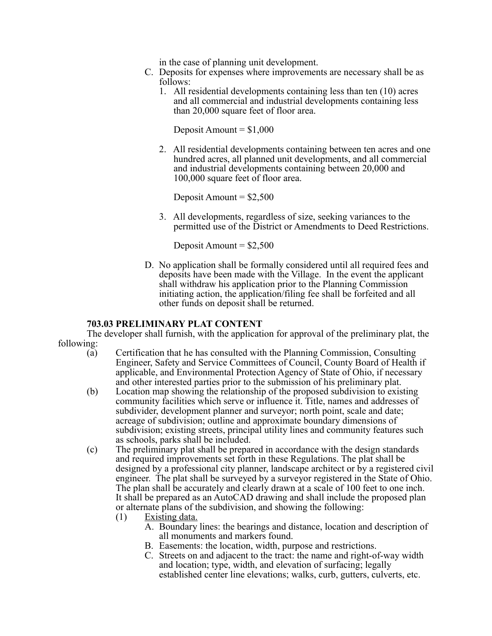in the case of planning unit development.

- C. Deposits for expenses where improvements are necessary shall be as follows:
	- 1. All residential developments containing less than ten (10) acres and all commercial and industrial developments containing less than 20,000 square feet of floor area.

Deposit Amount  $= $1,000$ 

2. All residential developments containing between ten acres and one hundred acres, all planned unit developments, and all commercial and industrial developments containing between 20,000 and 100,000 square feet of floor area.

Deposit Amount  $=$  \$2,500

3. All developments, regardless of size, seeking variances to the permitted use of the District or Amendments to Deed Restrictions.

Deposit Amount  $=$  \$2,500

D. No application shall be formally considered until all required fees and deposits have been made with the Village. In the event the applicant shall withdraw his application prior to the Planning Commission initiating action, the application/filing fee shall be forfeited and all other funds on deposit shall be returned.

#### **703.03 PRELIMINARY PLAT CONTENT**

The developer shall furnish, with the application for approval of the preliminary plat, the following:

- (a) Certification that he has consulted with the Planning Commission, Consulting Engineer, Safety and Service Committees of Council, County Board of Health if applicable, and Environmental Protection Agency of State of Ohio, if necessary and other interested parties prior to the submission of his preliminary plat.
- (b) Location map showing the relationship of the proposed subdivision to existing community facilities which serve or influence it. Title, names and addresses of subdivider, development planner and surveyor; north point, scale and date; acreage of subdivision; outline and approximate boundary dimensions of subdivision; existing streets, principal utility lines and community features such as schools, parks shall be included.
- (c) The preliminary plat shall be prepared in accordance with the design standards and required improvements set forth in these Regulations. The plat shall be designed by a professional city planner, landscape architect or by a registered civil engineer. The plat shall be surveyed by a surveyor registered in the State of Ohio. The plan shall be accurately and clearly drawn at a scale of 100 feet to one inch. It shall be prepared as an AutoCAD drawing and shall include the proposed plan or alternate plans of the subdivision, and showing the following:
	- (1) Existing data.
		- A. Boundary lines: the bearings and distance, location and description of all monuments and markers found.
		- B. Easements: the location, width, purpose and restrictions.
		- C. Streets on and adjacent to the tract: the name and right-of-way width and location; type, width, and elevation of surfacing; legally established center line elevations; walks, curb, gutters, culverts, etc.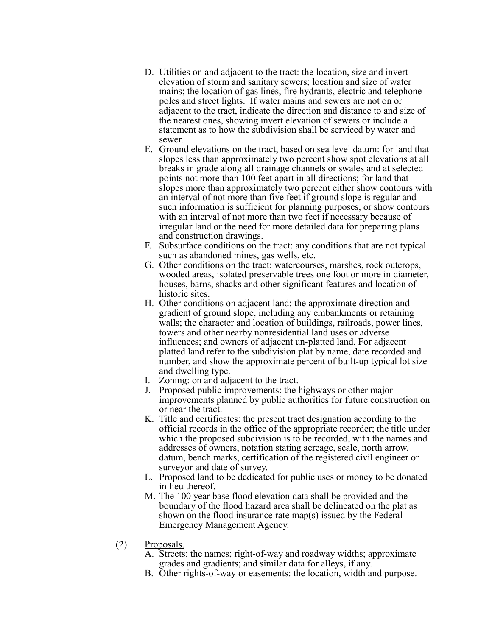- D. Utilities on and adjacent to the tract: the location, size and invert elevation of storm and sanitary sewers; location and size of water mains; the location of gas lines, fire hydrants, electric and telephone poles and street lights. If water mains and sewers are not on or adjacent to the tract, indicate the direction and distance to and size of the nearest ones, showing invert elevation of sewers or include a statement as to how the subdivision shall be serviced by water and sewer.
- E. Ground elevations on the tract, based on sea level datum: for land that slopes less than approximately two percent show spot elevations at all breaks in grade along all drainage channels or swales and at selected points not more than 100 feet apart in all directions; for land that slopes more than approximately two percent either show contours with an interval of not more than five feet if ground slope is regular and such information is sufficient for planning purposes, or show contours with an interval of not more than two feet if necessary because of irregular land or the need for more detailed data for preparing plans and construction drawings.
- F. Subsurface conditions on the tract: any conditions that are not typical such as abandoned mines, gas wells, etc.
- G. Other conditions on the tract: watercourses, marshes, rock outcrops, wooded areas, isolated preservable trees one foot or more in diameter, houses, barns, shacks and other significant features and location of historic sites.
- H. Other conditions on adjacent land: the approximate direction and gradient of ground slope, including any embankments or retaining walls; the character and location of buildings, railroads, power lines, towers and other nearby nonresidential land uses or adverse influences; and owners of adjacent un-platted land. For adjacent platted land refer to the subdivision plat by name, date recorded and number, and show the approximate percent of built-up typical lot size and dwelling type.
- I. Zoning: on and adjacent to the tract.
- J. Proposed public improvements: the highways or other major improvements planned by public authorities for future construction on or near the tract.
- K. Title and certificates: the present tract designation according to the official records in the office of the appropriate recorder; the title under which the proposed subdivision is to be recorded, with the names and addresses of owners, notation stating acreage, scale, north arrow, datum, bench marks, certification of the registered civil engineer or surveyor and date of survey.
- L. Proposed land to be dedicated for public uses or money to be donated in lieu thereof.
- M. The 100 year base flood elevation data shall be provided and the boundary of the flood hazard area shall be delineated on the plat as shown on the flood insurance rate map(s) issued by the Federal Emergency Management Agency.
- (2) Proposals.
	- A. Streets: the names; right-of-way and roadway widths; approximate grades and gradients; and similar data for alleys, if any.
	- B. Other rights-of-way or easements: the location, width and purpose.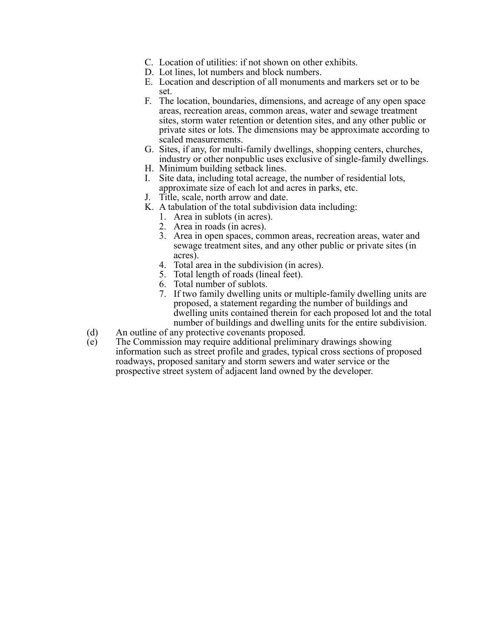- C. Location of utilities: if not shown on other exhibits.
- D. Lot lines, lot numbers and block numbers.
- E. Location and description of all monuments and markers set or to be set.
- F. The location, boundaries, dimensions, and acreage of any open space areas, recreation areas, common areas, water and sewage treatment sites, storm water retention or detention sites, and any other public or private sites or lots. The dimensions may be approximate according to scaled measurements.
- G. Sites, if any, for multi-family dwellings, shopping centers, churches, industry or other nonpublic uses exclusive of single-family dwellings.
- H. Minimum building setback lines.
- I. Site data, including total acreage, the number of residential lots, approximate size of each lot and acres in parks, etc.
- J. Title, scale, north arrow and date.
- K. A tabulation of the total subdivision data including:
	- 1. Area in sublots (in acres).
	- 2. Area in roads (in acres).
	- 3. Area in open spaces, common areas, recreation areas, water and sewage treatment sites, and any other public or private sites (in acres).
	- 4. Total area in the subdivision (in acres).
	- 5. Total length of roads (lineal feet).
	- 6. Total number of sublots.
	- 7. If two family dwelling units or multiple-family dwelling units are proposed, a statement regarding the number of buildings and dwelling units contained therein for each proposed lot and the total number of buildings and dwelling units for the entire subdivision.
- (d) An outline of any protective covenants proposed.
- (e) The Commission may require additional preliminary drawings showing information such as street profile and grades, typical cross sections of proposed roadways, proposed sanitary and storm sewers and water service or the prospective street system of adjacent land owned by the developer.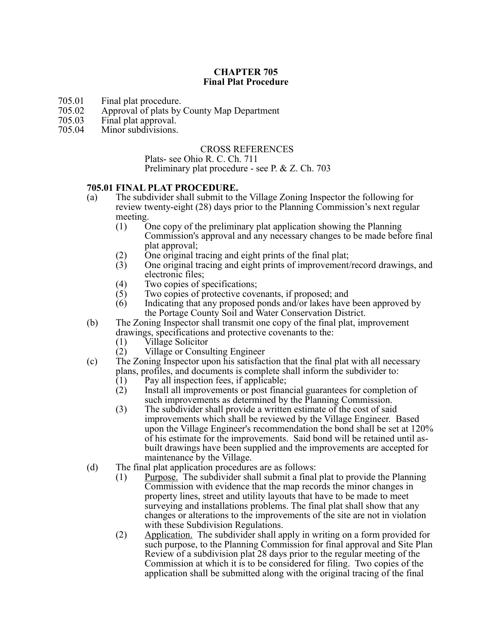## **CHAPTER 705 Final Plat Procedure**

- 705.01 Final plat procedure.<br>705.02 Approval of plats by
- 705.02 Approval of plats by County Map Department
- 705.03 Final plat approval.<br>705.04 Minor subdivisions.
- Minor subdivisions.

#### CROSS REFERENCES

Plats- see Ohio R. C. Ch. 711

Preliminary plat procedure - see P. & Z. Ch. 703

#### **705.01 FINAL PLAT PROCEDURE.**

- (a) The subdivider shall submit to the Village Zoning Inspector the following for review twenty-eight (28) days prior to the Planning Commission's next regular meeting.
	- (1) One copy of the preliminary plat application showing the Planning Commission's approval and any necessary changes to be made before final plat approval;
	- (2) One original tracing and eight prints of the final plat;
	- (3) One original tracing and eight prints of improvement/record drawings, and electronic files;
	- (4) Two copies of specifications;<br>(5) Two copies of protective cove
	- Two copies of protective covenants, if proposed; and
	- (6) Indicating that any proposed ponds and/or lakes have been approved by the Portage County Soil and Water Conservation District.
- (b) The Zoning Inspector shall transmit one copy of the final plat, improvement drawings, specifications and protective covenants to the:
	- (1) Village Solicitor
	- (2) Village or Consulting Engineer
- (c) The Zoning Inspector upon his satisfaction that the final plat with all necessary plans, profiles, and documents is complete shall inform the subdivider to:
	- $(1)$  Pay all inspection fees, if applicable;
	- (2) Install all improvements or post financial guarantees for completion of such improvements as determined by the Planning Commission.
	- (3) The subdivider shall provide a written estimate of the cost of said improvements which shall be reviewed by the Village Engineer. Based upon the Village Engineer's recommendation the bond shall be set at 120% of his estimate for the improvements. Said bond will be retained until asbuilt drawings have been supplied and the improvements are accepted for maintenance by the Village.
- (d) The final plat application procedures are as follows:
	- (1) Purpose. The subdivider shall submit a final plat to provide the Planning Commission with evidence that the map records the minor changes in property lines, street and utility layouts that have to be made to meet surveying and installations problems. The final plat shall show that any changes or alterations to the improvements of the site are not in violation with these Subdivision Regulations.
	- (2) Application. The subdivider shall apply in writing on a form provided for such purpose, to the Planning Commission for final approval and Site Plan Review of a subdivision plat 28 days prior to the regular meeting of the Commission at which it is to be considered for filing. Two copies of the application shall be submitted along with the original tracing of the final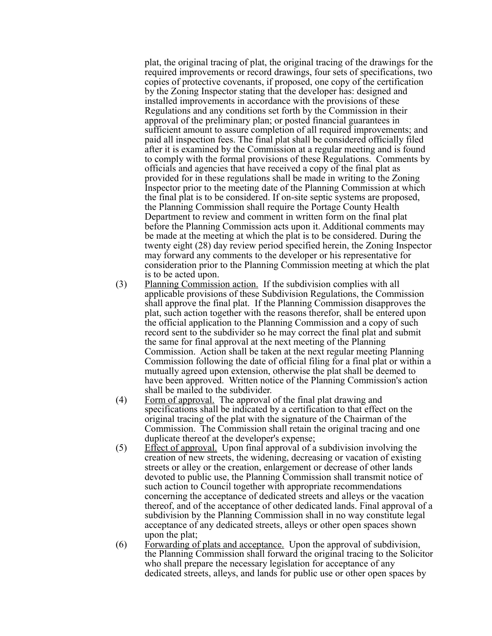plat, the original tracing of plat, the original tracing of the drawings for the required improvements or record drawings, four sets of specifications, two copies of protective covenants, if proposed, one copy of the certification by the Zoning Inspector stating that the developer has: designed and installed improvements in accordance with the provisions of these Regulations and any conditions set forth by the Commission in their approval of the preliminary plan; or posted financial guarantees in sufficient amount to assure completion of all required improvements; and paid all inspection fees. The final plat shall be considered officially filed after it is examined by the Commission at a regular meeting and is found to comply with the formal provisions of these Regulations. Comments by officials and agencies that have received a copy of the final plat as provided for in these regulations shall be made in writing to the Zoning Inspector prior to the meeting date of the Planning Commission at which the final plat is to be considered. If on-site septic systems are proposed, the Planning Commission shall require the Portage County Health Department to review and comment in written form on the final plat before the Planning Commission acts upon it. Additional comments may be made at the meeting at which the plat is to be considered. During the twenty eight (28) day review period specified herein, the Zoning Inspector may forward any comments to the developer or his representative for consideration prior to the Planning Commission meeting at which the plat is to be acted upon.

- (3) Planning Commission action. If the subdivision complies with all applicable provisions of these Subdivision Regulations, the Commission shall approve the final plat. If the Planning Commission disapproves the plat, such action together with the reasons therefor, shall be entered upon the official application to the Planning Commission and a copy of such record sent to the subdivider so he may correct the final plat and submit the same for final approval at the next meeting of the Planning Commission. Action shall be taken at the next regular meeting Planning Commission following the date of official filing for a final plat or within a mutually agreed upon extension, otherwise the plat shall be deemed to have been approved. Written notice of the Planning Commission's action shall be mailed to the subdivider.
- (4) Form of approval. The approval of the final plat drawing and specifications shall be indicated by a certification to that effect on the original tracing of the plat with the signature of the Chairman of the Commission. The Commission shall retain the original tracing and one duplicate thereof at the developer's expense;
- (5) Effect of approval. Upon final approval of a subdivision involving the creation of new streets, the widening, decreasing or vacation of existing streets or alley or the creation, enlargement or decrease of other lands devoted to public use, the Planning Commission shall transmit notice of such action to Council together with appropriate recommendations concerning the acceptance of dedicated streets and alleys or the vacation thereof, and of the acceptance of other dedicated lands. Final approval of a subdivision by the Planning Commission shall in no way constitute legal acceptance of any dedicated streets, alleys or other open spaces shown upon the plat;
- (6) Forwarding of plats and acceptance. Upon the approval of subdivision, the Planning Commission shall forward the original tracing to the Solicitor who shall prepare the necessary legislation for acceptance of any dedicated streets, alleys, and lands for public use or other open spaces by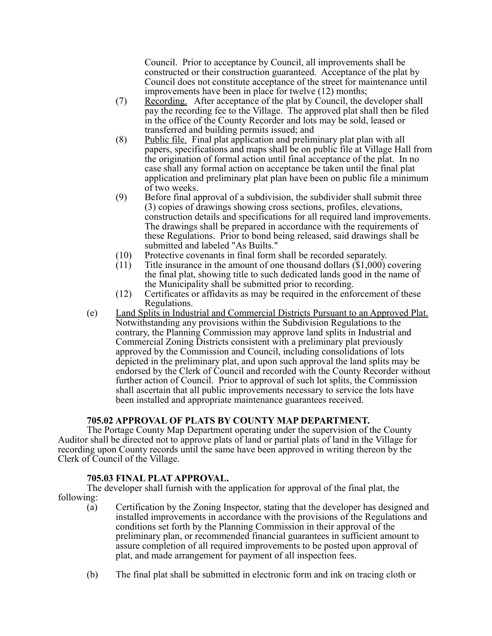Council. Prior to acceptance by Council, all improvements shall be constructed or their construction guaranteed. Acceptance of the plat by Council does not constitute acceptance of the street for maintenance until improvements have been in place for twelve (12) months;

- (7) Recording. After acceptance of the plat by Council, the developer shall pay the recording fee to the Village. The approved plat shall then be filed in the office of the County Recorder and lots may be sold, leased or transferred and building permits issued; and
- (8) Public file. Final plat application and preliminary plat plan with all papers, specifications and maps shall be on public file at Village Hall from the origination of formal action until final acceptance of the plat. In no case shall any formal action on acceptance be taken until the final plat application and preliminary plat plan have been on public file a minimum of two weeks.
- (9) Before final approval of a subdivision, the subdivider shall submit three (3) copies of drawings showing cross sections, profiles, elevations, construction details and specifications for all required land improvements. The drawings shall be prepared in accordance with the requirements of these Regulations. Prior to bond being released, said drawings shall be submitted and labeled "As Builts."
- (10) Protective covenants in final form shall be recorded separately.
- (11) Title insurance in the amount of one thousand dollars  $(\$1,000)$  covering the final plat, showing title to such dedicated lands good in the name of the Municipality shall be submitted prior to recording.
- (12) Certificates or affidavits as may be required in the enforcement of these Regulations.
- (e) Land Splits in Industrial and Commercial Districts Pursuant to an Approved Plat. Notwithstanding any provisions within the Subdivision Regulations to the contrary, the Planning Commission may approve land splits in Industrial and Commercial Zoning Districts consistent with a preliminary plat previously approved by the Commission and Council, including consolidations of lots depicted in the preliminary plat, and upon such approval the land splits may be endorsed by the Clerk of Council and recorded with the County Recorder without further action of Council. Prior to approval of such lot splits, the Commission shall ascertain that all public improvements necessary to service the lots have been installed and appropriate maintenance guarantees received.

# **705.02 APPROVAL OF PLATS BY COUNTY MAP DEPARTMENT.**

The Portage County Map Department operating under the supervision of the County Auditor shall be directed not to approve plats of land or partial plats of land in the Village for recording upon County records until the same have been approved in writing thereon by the Clerk of Council of the Village.

# **705.03 FINAL PLAT APPROVAL.**

The developer shall furnish with the application for approval of the final plat, the following:

- (a) Certification by the Zoning Inspector, stating that the developer has designed and installed improvements in accordance with the provisions of the Regulations and conditions set forth by the Planning Commission in their approval of the preliminary plan, or recommended financial guarantees in sufficient amount to assure completion of all required improvements to be posted upon approval of plat, and made arrangement for payment of all inspection fees.
- (b) The final plat shall be submitted in electronic form and ink on tracing cloth or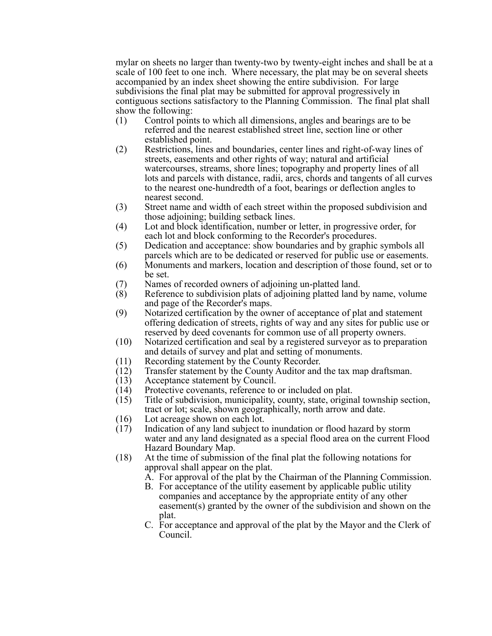mylar on sheets no larger than twenty-two by twenty-eight inches and shall be at a scale of 100 feet to one inch. Where necessary, the plat may be on several sheets accompanied by an index sheet showing the entire subdivision. For large subdivisions the final plat may be submitted for approval progressively in contiguous sections satisfactory to the Planning Commission. The final plat shall show the following:

- (1) Control points to which all dimensions, angles and bearings are to be referred and the nearest established street line, section line or other established point.
- (2) Restrictions, lines and boundaries, center lines and right-of-way lines of streets, easements and other rights of way; natural and artificial watercourses, streams, shore lines; topography and property lines of all lots and parcels with distance, radii, arcs, chords and tangents of all curves to the nearest one-hundredth of a foot, bearings or deflection angles to nearest second.
- (3) Street name and width of each street within the proposed subdivision and those adjoining; building setback lines.
- (4) Lot and block identification, number or letter, in progressive order, for each lot and block conforming to the Recorder's procedures.
- (5) Dedication and acceptance: show boundaries and by graphic symbols all parcels which are to be dedicated or reserved for public use or easements.
- (6) Monuments and markers, location and description of those found, set or to be set.
- (7) Names of recorded owners of adjoining un-platted land.
- (8) Reference to subdivision plats of adjoining platted land by name, volume and page of the Recorder's maps.
- (9) Notarized certification by the owner of acceptance of plat and statement offering dedication of streets, rights of way and any sites for public use or reserved by deed covenants for common use of all property owners.
- (10) Notarized certification and seal by a registered surveyor as to preparation and details of survey and plat and setting of monuments.
- (11) Recording statement by the County Recorder.
- (12) Transfer statement by the County Auditor and the tax map draftsman.<br>(13) Acceptance statement by Council.
- Acceptance statement by Council.
- (14) Protective covenants, reference to or included on plat.
- (15) Title of subdivision, municipality, county, state, original township section, tract or lot; scale, shown geographically, north arrow and date.
- 
- (16) Lot acreage shown on each lot.<br>(17) Indication of any land subject to Indication of any land subject to inundation or flood hazard by storm water and any land designated as a special flood area on the current Flood Hazard Boundary Map.
- (18) At the time of submission of the final plat the following notations for approval shall appear on the plat.
	- A. For approval of the plat by the Chairman of the Planning Commission.
	- B. For acceptance of the utility easement by applicable public utility companies and acceptance by the appropriate entity of any other easement(s) granted by the owner of the subdivision and shown on the plat.
	- C. For acceptance and approval of the plat by the Mayor and the Clerk of Council.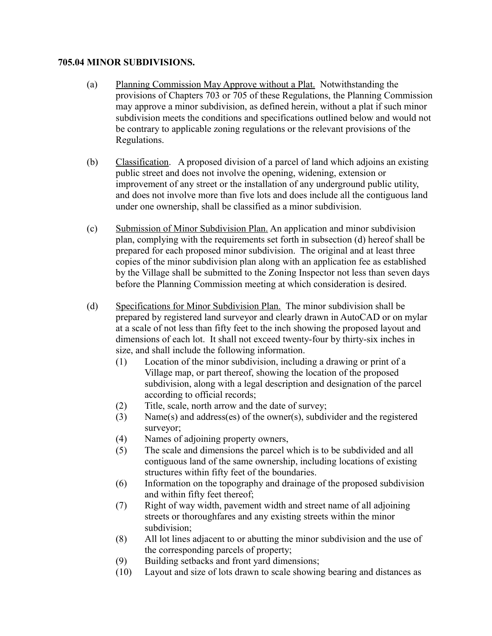# **705.04 MINOR SUBDIVISIONS.**

- (a) Planning Commission May Approve without a Plat. Notwithstanding the provisions of Chapters 703 or 705 of these Regulations, the Planning Commission may approve a minor subdivision, as defined herein, without a plat if such minor subdivision meets the conditions and specifications outlined below and would not be contrary to applicable zoning regulations or the relevant provisions of the Regulations.
- (b) Classification. A proposed division of a parcel of land which adjoins an existing public street and does not involve the opening, widening, extension or improvement of any street or the installation of any underground public utility, and does not involve more than five lots and does include all the contiguous land under one ownership, shall be classified as a minor subdivision.
- (c) Submission of Minor Subdivision Plan. An application and minor subdivision plan, complying with the requirements set forth in subsection (d) hereof shall be prepared for each proposed minor subdivision. The original and at least three copies of the minor subdivision plan along with an application fee as established by the Village shall be submitted to the Zoning Inspector not less than seven days before the Planning Commission meeting at which consideration is desired.
- (d) Specifications for Minor Subdivision Plan. The minor subdivision shall be prepared by registered land surveyor and clearly drawn in AutoCAD or on mylar at a scale of not less than fifty feet to the inch showing the proposed layout and dimensions of each lot. It shall not exceed twenty-four by thirty-six inches in size, and shall include the following information.
	- (1) Location of the minor subdivision, including a drawing or print of a Village map, or part thereof, showing the location of the proposed subdivision, along with a legal description and designation of the parcel according to official records;
	- (2) Title, scale, north arrow and the date of survey;
	- (3) Name(s) and address(es) of the owner(s), subdivider and the registered surveyor;
	- (4) Names of adjoining property owners,
	- (5) The scale and dimensions the parcel which is to be subdivided and all contiguous land of the same ownership, including locations of existing structures within fifty feet of the boundaries.
	- (6) Information on the topography and drainage of the proposed subdivision and within fifty feet thereof;
	- (7) Right of way width, pavement width and street name of all adjoining streets or thoroughfares and any existing streets within the minor subdivision;
	- (8) All lot lines adjacent to or abutting the minor subdivision and the use of the corresponding parcels of property;
	- (9) Building setbacks and front yard dimensions;
	- (10) Layout and size of lots drawn to scale showing bearing and distances as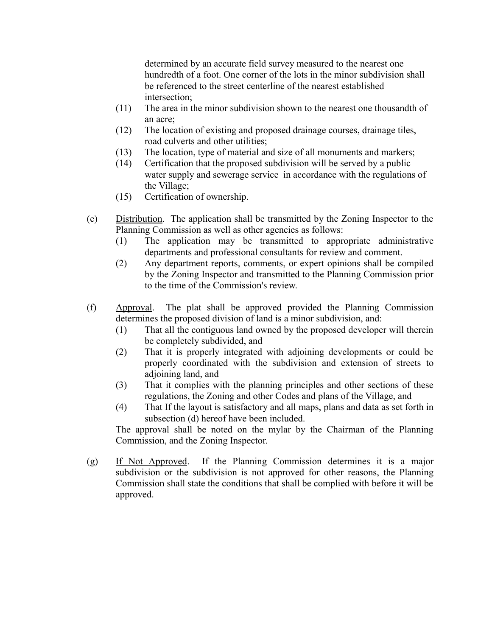determined by an accurate field survey measured to the nearest one hundredth of a foot. One corner of the lots in the minor subdivision shall be referenced to the street centerline of the nearest established intersection;

- (11) The area in the minor subdivision shown to the nearest one thousandth of an acre;
- (12) The location of existing and proposed drainage courses, drainage tiles, road culverts and other utilities;
- (13) The location, type of material and size of all monuments and markers;
- (14) Certification that the proposed subdivision will be served by a public water supply and sewerage service in accordance with the regulations of the Village;
- (15) Certification of ownership.
- (e) Distribution. The application shall be transmitted by the Zoning Inspector to the Planning Commission as well as other agencies as follows:
	- (1) The application may be transmitted to appropriate administrative departments and professional consultants for review and comment.
	- (2) Any department reports, comments, or expert opinions shall be compiled by the Zoning Inspector and transmitted to the Planning Commission prior to the time of the Commission's review.
- (f) Approval. The plat shall be approved provided the Planning Commission determines the proposed division of land is a minor subdivision, and:
	- (1) That all the contiguous land owned by the proposed developer will therein be completely subdivided, and
	- (2) That it is properly integrated with adjoining developments or could be properly coordinated with the subdivision and extension of streets to adjoining land, and
	- (3) That it complies with the planning principles and other sections of these regulations, the Zoning and other Codes and plans of the Village, and
	- (4) That If the layout is satisfactory and all maps, plans and data as set forth in subsection (d) hereof have been included.

The approval shall be noted on the mylar by the Chairman of the Planning Commission, and the Zoning Inspector.

(g) If Not Approved. If the Planning Commission determines it is a major subdivision or the subdivision is not approved for other reasons, the Planning Commission shall state the conditions that shall be complied with before it will be approved.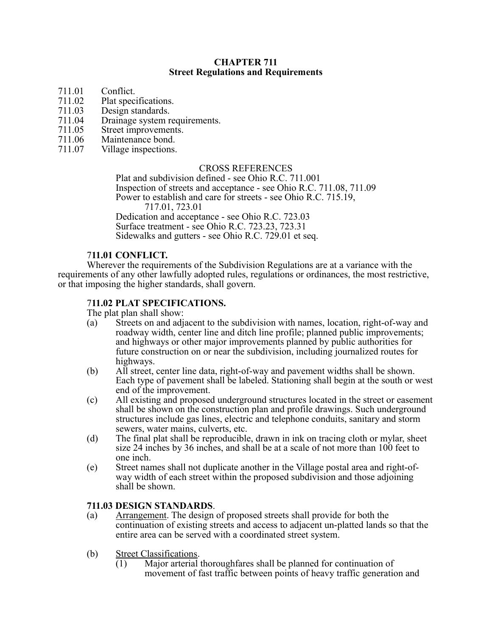#### **CHAPTER 711 Street Regulations and Requirements**

- 
- 711.01 Conflict.<br>711.02 Plat speci
- 711.02 Plat specifications.<br>711.03 Design standards.
- 711.03 Design standards.<br>711.04 Drainage system r 711.04 Drainage system requirements.<br>711.05 Street improvements
- 711.05 Street improvements.<br>711.06 Maintenance bond.
- 711.06 Maintenance bond.<br>711.07 Village inspections.
- Village inspections.

#### CROSS REFERENCES

Plat and subdivision defined - see Ohio R.C. 711.001 Inspection of streets and acceptance - see Ohio R.C. 711.08, 711.09 Power to establish and care for streets - see Ohio R.C. 715.19, 717.01, 723.01 Dedication and acceptance - see Ohio R.C. 723.03 Surface treatment - see Ohio R.C. 723.23, 723.31 Sidewalks and gutters - see Ohio R.C. 729.01 et seq.

#### 7**11.01 CONFLICT.**

Wherever the requirements of the Subdivision Regulations are at a variance with the requirements of any other lawfully adopted rules, regulations or ordinances, the most restrictive, or that imposing the higher standards, shall govern.

# 7**11.02 PLAT SPECIFICATIONS.**

The plat plan shall show:

- (a) Streets on and adjacent to the subdivision with names, location, right-of-way and roadway width, center line and ditch line profile; planned public improvements; and highways or other major improvements planned by public authorities for future construction on or near the subdivision, including journalized routes for highways.
- (b) All street, center line data, right-of-way and pavement widths shall be shown. Each type of pavement shall be labeled. Stationing shall begin at the south or west end of the improvement.
- (c) All existing and proposed underground structures located in the street or easement shall be shown on the construction plan and profile drawings. Such underground structures include gas lines, electric and telephone conduits, sanitary and storm sewers, water mains, culverts, etc.
- (d) The final plat shall be reproducible, drawn in ink on tracing cloth or mylar, sheet size 24 inches by 36 inches, and shall be at a scale of not more than 100 feet to one inch.
- (e) Street names shall not duplicate another in the Village postal area and right-ofway width of each street within the proposed subdivision and those adjoining shall be shown.

#### **711.03 DESIGN STANDARDS**.

- (a) Arrangement. The design of proposed streets shall provide for both the continuation of existing streets and access to adjacent un-platted lands so that the entire area can be served with a coordinated street system.
- (b) Street Classifications.
	- (1) Major arterial thoroughfares shall be planned for continuation of movement of fast traffic between points of heavy traffic generation and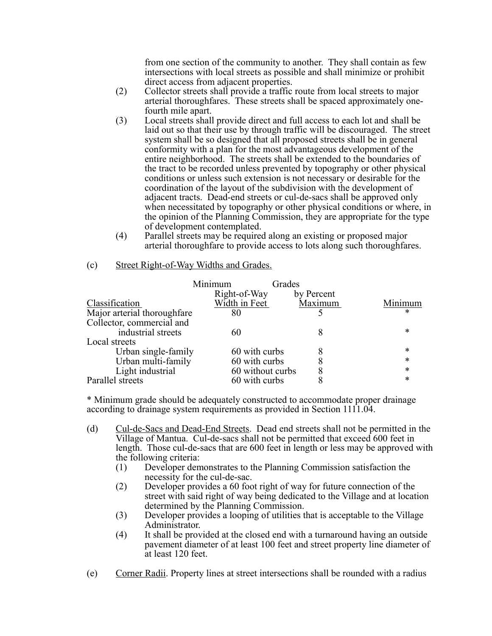from one section of the community to another. They shall contain as few intersections with local streets as possible and shall minimize or prohibit direct access from adjacent properties.

- (2) Collector streets shall provide a traffic route from local streets to major arterial thoroughfares. These streets shall be spaced approximately onefourth mile apart.
- (3) Local streets shall provide direct and full access to each lot and shall be laid out so that their use by through traffic will be discouraged. The street system shall be so designed that all proposed streets shall be in general conformity with a plan for the most advantageous development of the entire neighborhood. The streets shall be extended to the boundaries of the tract to be recorded unless prevented by topography or other physical conditions or unless such extension is not necessary or desirable for the coordination of the layout of the subdivision with the development of adjacent tracts. Dead-end streets or cul-de-sacs shall be approved only when necessitated by topography or other physical conditions or where, in the opinion of the Planning Commission, they are appropriate for the type of development contemplated.
- (4) Parallel streets may be required along an existing or proposed major arterial thoroughfare to provide access to lots along such thoroughfares.

| (c) | Street Right-of-Way Widths and Grades. |
|-----|----------------------------------------|
|     |                                        |

|                             | Minimum<br>Grades |            |         |
|-----------------------------|-------------------|------------|---------|
|                             | Right-of-Way      | by Percent |         |
| Classification              | Width in Feet     | Maximum    | Minimum |
| Major arterial thoroughfare | 80                |            | *       |
| Collector, commercial and   |                   |            |         |
| industrial streets          | 60                | 8          | *       |
| Local streets               |                   |            |         |
| Urban single-family         | 60 with curbs     | 8          | *       |
| Urban multi-family          | 60 with curbs     | 8          | *       |
| Light industrial            | 60 without curbs  | 8          | *       |
| Parallel streets            | 60 with curbs     | 8          | *       |

\* Minimum grade should be adequately constructed to accommodate proper drainage according to drainage system requirements as provided in Section 1111.04.

- (d) Cul-de-Sacs and Dead-End Streets. Dead end streets shall not be permitted in the Village of Mantua. Cul-de-sacs shall not be permitted that exceed 600 feet in length. Those cul-de-sacs that are 600 feet in length or less may be approved with the following criteria:
	- (1) Developer demonstrates to the Planning Commission satisfaction the necessity for the cul-de-sac.
	- (2) Developer provides a 60 foot right of way for future connection of the street with said right of way being dedicated to the Village and at location determined by the Planning Commission.
	- (3) Developer provides a looping of utilities that is acceptable to the Village Administrator.
	- (4) It shall be provided at the closed end with a turnaround having an outside pavement diameter of at least 100 feet and street property line diameter of at least 120 feet.
- (e) Corner Radii. Property lines at street intersections shall be rounded with a radius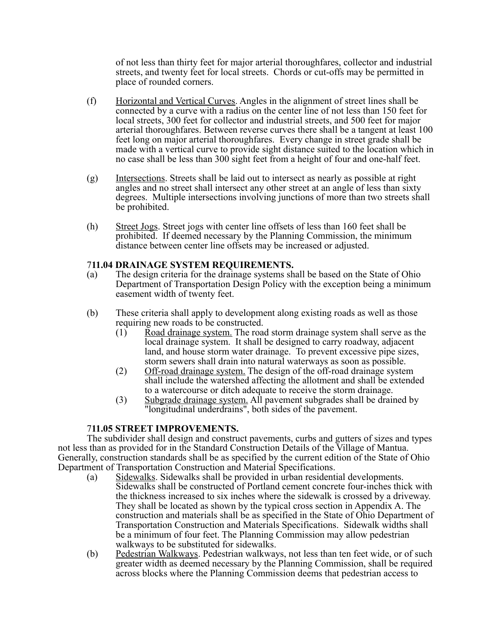of not less than thirty feet for major arterial thoroughfares, collector and industrial streets, and twenty feet for local streets. Chords or cut-offs may be permitted in place of rounded corners.

- (f) Horizontal and Vertical Curves. Angles in the alignment of street lines shall be connected by a curve with a radius on the center line of not less than 150 feet for local streets, 300 feet for collector and industrial streets, and 500 feet for major arterial thoroughfares. Between reverse curves there shall be a tangent at least 100 feet long on major arterial thoroughfares. Every change in street grade shall be made with a vertical curve to provide sight distance suited to the location which in no case shall be less than 300 sight feet from a height of four and one-half feet.
- (g) Intersections. Streets shall be laid out to intersect as nearly as possible at right angles and no street shall intersect any other street at an angle of less than sixty degrees. Multiple intersections involving junctions of more than two streets shall be prohibited.
- (h) Street Jogs. Street jogs with center line offsets of less than 160 feet shall be prohibited. If deemed necessary by the Planning Commission, the minimum distance between center line offsets may be increased or adjusted.

#### 7**11.04 DRAINAGE SYSTEM REQUIREMENTS.**

- (a) The design criteria for the drainage systems shall be based on the State of Ohio Department of Transportation Design Policy with the exception being a minimum easement width of twenty feet.
- (b) These criteria shall apply to development along existing roads as well as those requiring new roads to be constructed.
	- (1) Road drainage system. The road storm drainage system shall serve as the local drainage system. It shall be designed to carry roadway, adjacent land, and house storm water drainage. To prevent excessive pipe sizes, storm sewers shall drain into natural waterways as soon as possible.
	- (2) Off-road drainage system. The design of the off-road drainage system shall include the watershed affecting the allotment and shall be extended to a watercourse or ditch adequate to receive the storm drainage.
	- (3) Subgrade drainage system. All pavement subgrades shall be drained by "longitudinal underdrains", both sides of the pavement.

# 7**11.05 STREET IMPROVEMENTS.**

The subdivider shall design and construct pavements, curbs and gutters of sizes and types not less than as provided for in the Standard Construction Details of the Village of Mantua. Generally, construction standards shall be as specified by the current edition of the State of Ohio Department of Transportation Construction and Material Specifications.

- (a) Sidewalks. Sidewalks shall be provided in urban residential developments. Sidewalks shall be constructed of Portland cement concrete four-inches thick with the thickness increased to six inches where the sidewalk is crossed by a driveway. They shall be located as shown by the typical cross section in Appendix A. The construction and materials shall be as specified in the State of Ohio Department of Transportation Construction and Materials Specifications. Sidewalk widths shall be a minimum of four feet. The Planning Commission may allow pedestrian walkways to be substituted for sidewalks.
- (b) Pedestrian Walkways. Pedestrian walkways, not less than ten feet wide, or of such greater width as deemed necessary by the Planning Commission, shall be required across blocks where the Planning Commission deems that pedestrian access to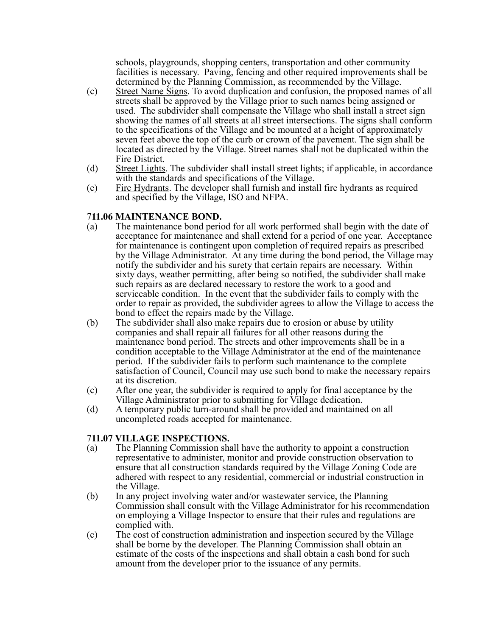schools, playgrounds, shopping centers, transportation and other community facilities is necessary. Paving, fencing and other required improvements shall be determined by the Planning Commission, as recommended by the Village.

- (c) Street Name Signs. To avoid duplication and confusion, the proposed names of all streets shall be approved by the Village prior to such names being assigned or used. The subdivider shall compensate the Village who shall install a street sign showing the names of all streets at all street intersections. The signs shall conform to the specifications of the Village and be mounted at a height of approximately seven feet above the top of the curb or crown of the pavement. The sign shall be located as directed by the Village. Street names shall not be duplicated within the Fire District.
- (d) Street Lights. The subdivider shall install street lights; if applicable, in accordance with the standards and specifications of the Village.
- (e) Fire Hydrants. The developer shall furnish and install fire hydrants as required and specified by the Village, ISO and NFPA.

#### 7**11.06 MAINTENANCE BOND.**

- (a) The maintenance bond period for all work performed shall begin with the date of acceptance for maintenance and shall extend for a period of one year. Acceptance for maintenance is contingent upon completion of required repairs as prescribed by the Village Administrator. At any time during the bond period, the Village may notify the subdivider and his surety that certain repairs are necessary. Within sixty days, weather permitting, after being so notified, the subdivider shall make such repairs as are declared necessary to restore the work to a good and serviceable condition. In the event that the subdivider fails to comply with the order to repair as provided, the subdivider agrees to allow the Village to access the bond to effect the repairs made by the Village.
- (b) The subdivider shall also make repairs due to erosion or abuse by utility companies and shall repair all failures for all other reasons during the maintenance bond period. The streets and other improvements shall be in a condition acceptable to the Village Administrator at the end of the maintenance period. If the subdivider fails to perform such maintenance to the complete satisfaction of Council, Council may use such bond to make the necessary repairs at its discretion.
- (c) After one year, the subdivider is required to apply for final acceptance by the Village Administrator prior to submitting for Village dedication.
- (d) A temporary public turn-around shall be provided and maintained on all uncompleted roads accepted for maintenance.

#### 7**11.07 VILLAGE INSPECTIONS.**

- (a) The Planning Commission shall have the authority to appoint a construction representative to administer, monitor and provide construction observation to ensure that all construction standards required by the Village Zoning Code are adhered with respect to any residential, commercial or industrial construction in the Village.
- (b) In any project involving water and/or wastewater service, the Planning Commission shall consult with the Village Administrator for his recommendation on employing a Village Inspector to ensure that their rules and regulations are complied with.
- (c) The cost of construction administration and inspection secured by the Village shall be borne by the developer. The Planning Commission shall obtain an estimate of the costs of the inspections and shall obtain a cash bond for such amount from the developer prior to the issuance of any permits.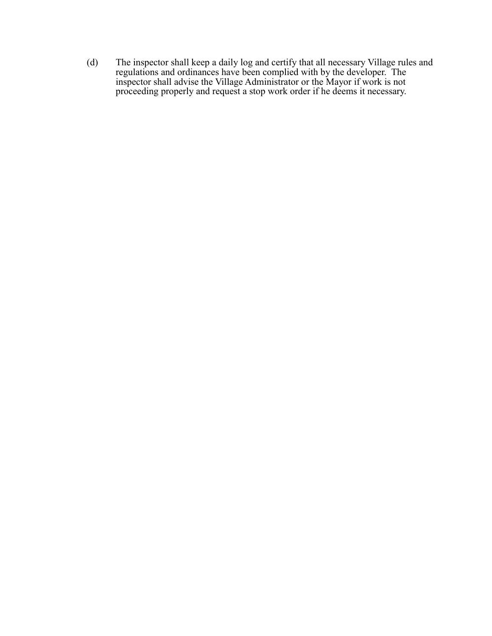(d) The inspector shall keep a daily log and certify that all necessary Village rules and regulations and ordinances have been complied with by the developer. The inspector shall advise the Village Administrator or the Mayor if work is not proceeding properly and request a stop work order if he deems it necessary.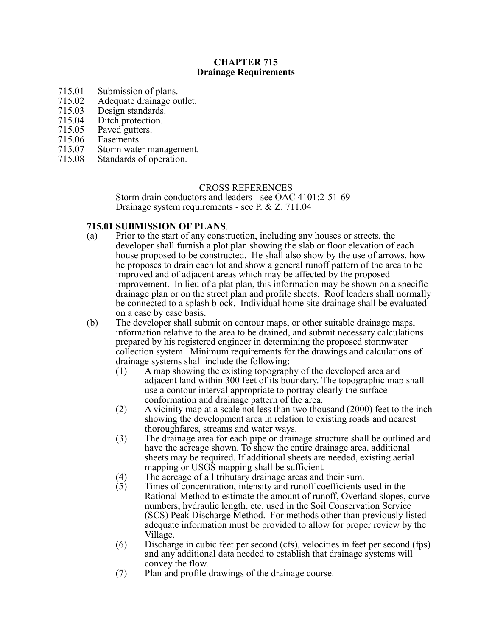# **CHAPTER 715 Drainage Requirements**

- 
- 715.01 Submission of plans.<br>715.02 Adequate drainage of 715.02 Adequate drainage outlet.<br>715.03 Design standards.
- 715.03 Design standards.<br>715.04 Ditch protection.
- 715.04 Ditch protection.<br>715.05 Paved gutters.
- 715.05 Paved gutters.<br>715.06 Easements.
- Easements.
- 715.07 Storm water management.<br>715.08 Standards of operation.
- Standards of operation.

#### CROSS REFERENCES

Storm drain conductors and leaders - see OAC 4101:2-51-69 Drainage system requirements - see P. & Z. 711.04

#### **715.01 SUBMISSION OF PLANS**.

- (a) Prior to the start of any construction, including any houses or streets, the developer shall furnish a plot plan showing the slab or floor elevation of each house proposed to be constructed. He shall also show by the use of arrows, how he proposes to drain each lot and show a general runoff pattern of the area to be improved and of adjacent areas which may be affected by the proposed improvement. In lieu of a plat plan, this information may be shown on a specific drainage plan or on the street plan and profile sheets. Roof leaders shall normally be connected to a splash block. Individual home site drainage shall be evaluated on a case by case basis.
- (b) The developer shall submit on contour maps, or other suitable drainage maps, information relative to the area to be drained, and submit necessary calculations prepared by his registered engineer in determining the proposed stormwater collection system. Minimum requirements for the drawings and calculations of drainage systems shall include the following:
	- (1) A map showing the existing topography of the developed area and adjacent land within 300 feet of its boundary. The topographic map shall use a contour interval appropriate to portray clearly the surface conformation and drainage pattern of the area.
	- (2) A vicinity map at a scale not less than two thousand (2000) feet to the inch showing the development area in relation to existing roads and nearest thoroughfares, streams and water ways.
	- (3) The drainage area for each pipe or drainage structure shall be outlined and have the acreage shown. To show the entire drainage area, additional sheets may be required. If additional sheets are needed, existing aerial mapping or USGS mapping shall be sufficient.
	-
	- (4) The acreage of all tributary drainage areas and their sum.<br>(5) Times of concentration, intensity and runoff coefficients Times of concentration, intensity and runoff coefficients used in the Rational Method to estimate the amount of runoff, Overland slopes, curve numbers, hydraulic length, etc. used in the Soil Conservation Service (SCS) Peak Discharge Method. For methods other than previously listed adequate information must be provided to allow for proper review by the Village.
	- (6) Discharge in cubic feet per second (cfs), velocities in feet per second (fps) and any additional data needed to establish that drainage systems will convey the flow.
	- (7) Plan and profile drawings of the drainage course.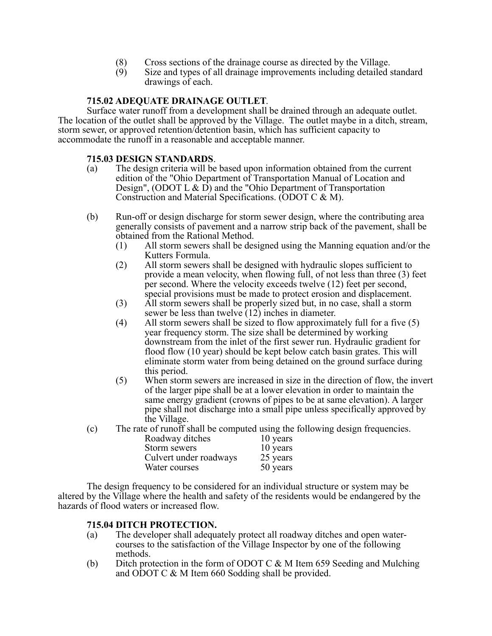- (8) Cross sections of the drainage course as directed by the Village.<br>  $(9)$  Size and types of all drainage improvements including detailed s
- Size and types of all drainage improvements including detailed standard drawings of each.

## **715.02 ADEQUATE DRAINAGE OUTLET**.

Surface water runoff from a development shall be drained through an adequate outlet. The location of the outlet shall be approved by the Village. The outlet maybe in a ditch, stream, storm sewer, or approved retention/detention basin, which has sufficient capacity to accommodate the runoff in a reasonable and acceptable manner.

#### **715.03 DESIGN STANDARDS**.

- (a) The design criteria will be based upon information obtained from the current edition of the "Ohio Department of Transportation Manual of Location and Design", (ODOT L  $\&$  D) and the "Ohio Department of Transportation Construction and Material Specifications. (ODOT C & M).
- (b) Run-off or design discharge for storm sewer design, where the contributing area generally consists of pavement and a narrow strip back of the pavement, shall be obtained from the Rational Method.
	- (1) All storm sewers shall be designed using the Manning equation and/or the Kutters Formula.
	- (2) All storm sewers shall be designed with hydraulic slopes sufficient to provide a mean velocity, when flowing full, of not less than three (3) feet per second. Where the velocity exceeds twelve (12) feet per second, special provisions must be made to protect erosion and displacement.
	- (3) All storm sewers shall be properly sized but, in no case, shall a storm sewer be less than twelve  $(12)$  inches in diameter.
	- (4) All storm sewers shall be sized to flow approximately full for a five (5) year frequency storm. The size shall be determined by working downstream from the inlet of the first sewer run. Hydraulic gradient for flood flow (10 year) should be kept below catch basin grates. This will eliminate storm water from being detained on the ground surface during this period.
	- (5) When storm sewers are increased in size in the direction of flow, the invert of the larger pipe shall be at a lower elevation in order to maintain the same energy gradient (crowns of pipes to be at same elevation). A larger pipe shall not discharge into a small pipe unless specifically approved by the Village.
- (c) The rate of runoff shall be computed using the following design frequencies.

| Roadway ditches        | 10 years |
|------------------------|----------|
| Storm sewers           | 10 years |
| Culvert under roadways | 25 years |
| Water courses          | 50 years |

The design frequency to be considered for an individual structure or system may be altered by the Village where the health and safety of the residents would be endangered by the hazards of flood waters or increased flow.

# **715.04 DITCH PROTECTION.**<br>(a) The developer shall adequa

- The developer shall adequately protect all roadway ditches and open watercourses to the satisfaction of the Village Inspector by one of the following methods.
- (b) Ditch protection in the form of ODOT C & M Item 659 Seeding and Mulching and ODOT C & M Item 660 Sodding shall be provided.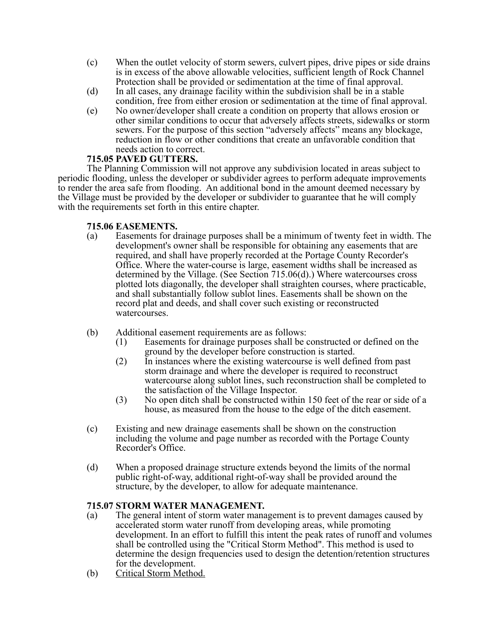- (c) When the outlet velocity of storm sewers, culvert pipes, drive pipes or side drains is in excess of the above allowable velocities, sufficient length of Rock Channel Protection shall be provided or sedimentation at the time of final approval.
- (d) In all cases, any drainage facility within the subdivision shall be in a stable condition, free from either erosion or sedimentation at the time of final approval.
- (e) No owner/developer shall create a condition on property that allows erosion or other similar conditions to occur that adversely affects streets, sidewalks or storm sewers. For the purpose of this section "adversely affects" means any blockage, reduction in flow or other conditions that create an unfavorable condition that needs action to correct.

# **715.05 PAVED GUTTERS.**

The Planning Commission will not approve any subdivision located in areas subject to periodic flooding, unless the developer or subdivider agrees to perform adequate improvements to render the area safe from flooding. An additional bond in the amount deemed necessary by the Village must be provided by the developer or subdivider to guarantee that he will comply with the requirements set forth in this entire chapter.

# **715.06 EASEMENTS.**

- (a) Easements for drainage purposes shall be a minimum of twenty feet in width. The development's owner shall be responsible for obtaining any easements that are required, and shall have properly recorded at the Portage County Recorder's Office. Where the water-course is large, easement widths shall be increased as determined by the Village. (See Section 715.06(d).) Where watercourses cross plotted lots diagonally, the developer shall straighten courses, where practicable, and shall substantially follow sublot lines. Easements shall be shown on the record plat and deeds, and shall cover such existing or reconstructed watercourses.
- (b) Additional easement requirements are as follows:
	- (1) Easements for drainage purposes shall be constructed or defined on the ground by the developer before construction is started.
	- (2) In instances where the existing watercourse is well defined from past storm drainage and where the developer is required to reconstruct watercourse along sublot lines, such reconstruction shall be completed to the satisfaction of the Village Inspector.
	- (3) No open ditch shall be constructed within 150 feet of the rear or side of a house, as measured from the house to the edge of the ditch easement.
- (c) Existing and new drainage easements shall be shown on the construction including the volume and page number as recorded with the Portage County Recorder's Office.
- (d) When a proposed drainage structure extends beyond the limits of the normal public right-of-way, additional right-of-way shall be provided around the structure, by the developer, to allow for adequate maintenance.

# **715.07 STORM WATER MANAGEMENT.**

- (a) The general intent of storm water management is to prevent damages caused by accelerated storm water runoff from developing areas, while promoting development. In an effort to fulfill this intent the peak rates of runoff and volumes shall be controlled using the "Critical Storm Method". This method is used to determine the design frequencies used to design the detention/retention structures for the development.
- (b) Critical Storm Method.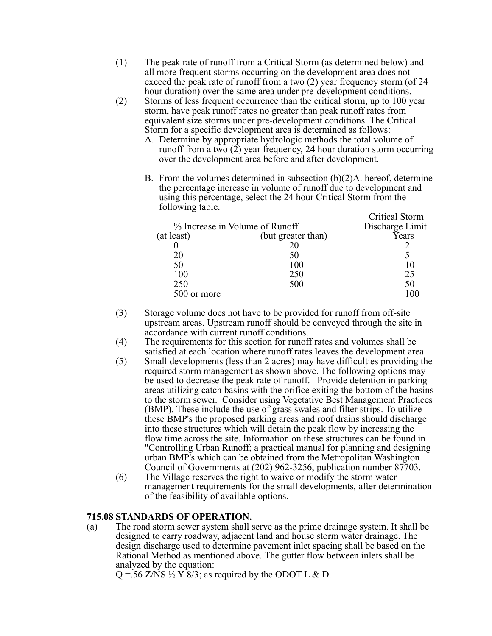- (1) The peak rate of runoff from a Critical Storm (as determined below) and all more frequent storms occurring on the development area does not exceed the peak rate of runoff from a two (2) year frequency storm (of 24 hour duration) over the same area under pre-development conditions.
- (2) Storms of less frequent occurrence than the critical storm, up to 100 year storm, have peak runoff rates no greater than peak runoff rates from equivalent size storms under pre-development conditions. The Critical Storm for a specific development area is determined as follows:
	- A. Determine by appropriate hydrologic methods the total volume of runoff from a two (2) year frequency, 24 hour duration storm occurring over the development area before and after development.
	- B. From the volumes determined in subsection  $(b)(2)A$ , hereof, determine the percentage increase in volume of runoff due to development and using this percentage, select the 24 hour Critical Storm from the following table. Critical Storm

|                                |                    | UTHICAI SIOIIII |
|--------------------------------|--------------------|-----------------|
| % Increase in Volume of Runoff | Discharge Limit    |                 |
| <u>(at least)</u>              | (but greater than) | Years           |
|                                |                    |                 |
| 20                             |                    |                 |
| 50                             | 100                |                 |
| 100                            | 250                | 25              |
| 250                            | 500                | 50              |
| 500 or more                    |                    |                 |
|                                |                    |                 |

- (3) Storage volume does not have to be provided for runoff from off-site upstream areas. Upstream runoff should be conveyed through the site in accordance with current runoff conditions.
- (4) The requirements for this section for runoff rates and volumes shall be satisfied at each location where runoff rates leaves the development area.
- (5) Small developments (less than 2 acres) may have difficulties providing the required storm management as shown above. The following options may be used to decrease the peak rate of runoff. Provide detention in parking areas utilizing catch basins with the orifice exiting the bottom of the basins to the storm sewer. Consider using Vegetative Best Management Practices (BMP). These include the use of grass swales and filter strips. To utilize these BMP's the proposed parking areas and roof drains should discharge into these structures which will detain the peak flow by increasing the flow time across the site. Information on these structures can be found in "Controlling Urban Runoff; a practical manual for planning and designing urban BMP's which can be obtained from the Metropolitan Washington Council of Governments at (202) 962-3256, publication number 87703.
- (6) The Village reserves the right to waive or modify the storm water management requirements for the small developments, after determination of the feasibility of available options.

# **715.08 STANDARDS OF OPERATION.**

(a) The road storm sewer system shall serve as the prime drainage system. It shall be designed to carry roadway, adjacent land and house storm water drainage. The design discharge used to determine pavement inlet spacing shall be based on the Rational Method as mentioned above. The gutter flow between inlets shall be analyzed by the equation:

 $Q = 56$  Z/NS  $\frac{1}{2}$  Y  $\frac{2}{3}$ ; as required by the ODOT L & D.